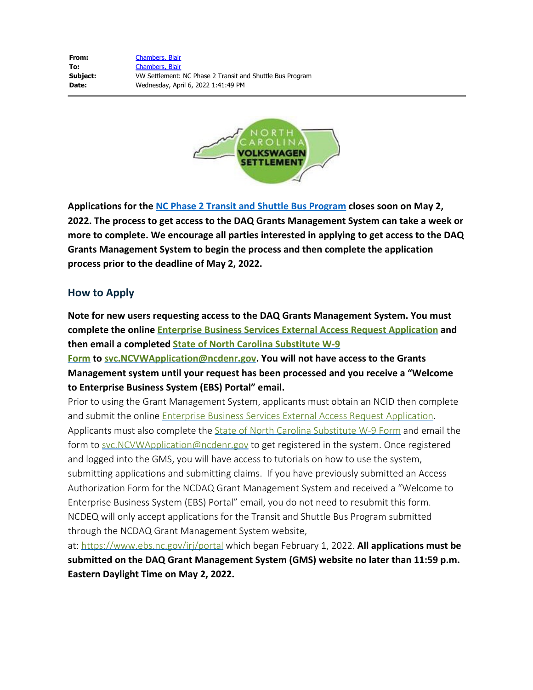

**Applications for the [NC Phase 2 Transit and Shuttle Bus Program](https://deq.nc.gov/about/divisions/air-quality/motor-vehicles-and-air-quality/volkswagen-settlement/phase-2-volkswagen-settlement/diesel-bus-and-vehicle-program/transit-shuttle-bus-program) closes soon on May 2, 2022. The process to get access to the DAQ Grants Management System can take a week or more to complete. We encourage all parties interested in applying to get access to the DAQ Grants Management System to begin the process and then complete the application process prior to the deadline of May 2, 2022.**

## **How to Apply**

**Note for new users requesting access to the DAQ Grants Management System. You must complete the online [Enterprise Business Services External Access Request Application](https://www.ebs.nc.gov/sap/crmaccess/index.html) and then email a completed [State of North Carolina Substitute W-9](https://deq.nc.gov/documents/files/grant-forms/state-north-carolina-sub-w-9-01292019/download)**

**[Form](https://deq.nc.gov/documents/files/grant-forms/state-north-carolina-sub-w-9-01292019/download) to [svc.NCVWApplication@ncdenr.gov](mailto:svc.NCVWApplication@ncdenr.gov?subject=NC%20GMS%20Access%20Request%20-%20Level%202%20Application). You will not have access to the Grants Management system until your request has been processed and you receive a "Welcome to Enterprise Business System (EBS) Portal" email.**

Prior to using the Grant Management System, applicants must obtain an NCID then complete and submit the online [Enterprise Business Services External Access Request Application](https://www.ebs.nc.gov/sap/crmaccess/index.html). Applicants must also complete the **[State of North Carolina Substitute W-9 Form](https://deq.nc.gov/documents/files/grant-forms/state-north-carolina-sub-w-9-01292019/download)** and email the form to [svc.NCVWApplication@ncdenr.gov](mailto:svc.NCVWApplication@ncdenr.gov?subject=NC%20GMS%20Access%20Request%20-%20Level%202%20Application) to get registered in the system. Once registered and logged into the GMS, you will have access to tutorials on how to use the system, submitting applications and submitting claims. If you have previously submitted an Access Authorization Form for the NCDAQ Grant Management System and received a "Welcome to Enterprise Business System (EBS) Portal" email, you do not need to resubmit this form. NCDEQ will only accept applications for the Transit and Shuttle Bus Program submitted through the NCDAQ Grant Management System website,

at: [https://www.ebs.nc.gov/irj/portal](http://www.ebs.nc.gov/irj/portal) which began February 1, 2022. **All applications must be submitted on the DAQ Grant Management System (GMS) website no later than 11:59 p.m. Eastern Daylight Time on May 2, 2022.**